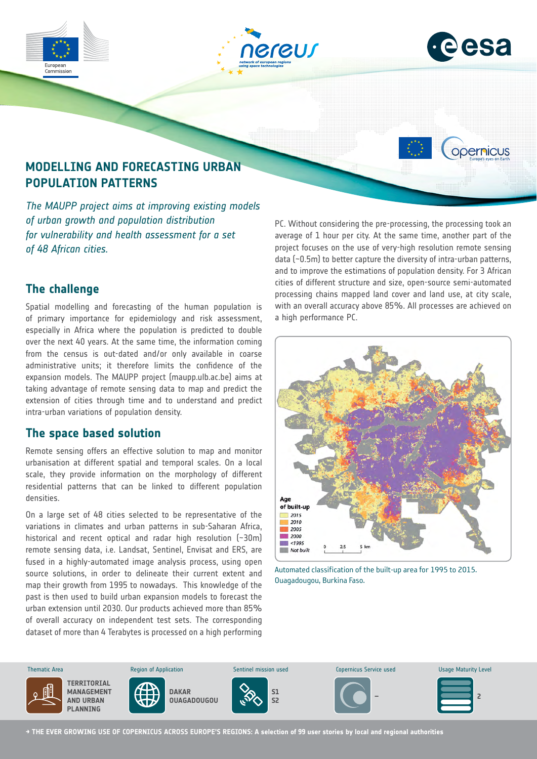

# **POPULATION PATTERNS**

*The MAUPP project aims at improving existing models of urban growth and population distribution for vulnerability and health assessment for a set of 48 African cities.*

### **The challenge**

Spatial modelling and forecasting of the human population is of primary importance for epidemiology and risk assessment, especially in Africa where the population is predicted to double over the next 40 years. At the same time, the information coming from the census is out-dated and/or only available in coarse administrative units; it therefore limits the confidence of the expansion models. The MAUPP project (maupp.ulb.ac.be) aims at taking advantage of remote sensing data to map and predict the extension of cities through time and to understand and predict intra-urban variations of population density.

#### **The space based solution**

Remote sensing offers an effective solution to map and monitor urbanisation at different spatial and temporal scales. On a local scale, they provide information on the morphology of different residential patterns that can be linked to different population densities.

On a large set of 48 cities selected to be representative of the variations in climates and urban patterns in sub-Saharan Africa, historical and recent optical and radar high resolution (~30m) remote sensing data, i.e. Landsat, Sentinel, Envisat and ERS, are fused in a highly-automated image analysis process, using open source solutions, in order to delineate their current extent and map their growth from 1995 to nowadays. This knowledge of the past is then used to build urban expansion models to forecast the urban extension until 2030. Our products achieved more than 85% of overall accuracy on independent test sets. The corresponding dataset of more than 4 Terabytes is processed on a high performing PC. Without considering the pre-processing, the processing took an average of 1 hour per city. At the same time, another part of the project focuses on the use of very-high resolution remote sensing data (~0.5m) to better capture the diversity of intra-urban patterns, and to improve the estimations of population density. For 3 African cities of different structure and size, open-source semi-automated processing chains mapped land cover and land use, at city scale, with an overall accuracy above 85%. All processes are achieved on a high performance PC.



Automated classification of the built-up area for 1995 to 2015. Ouagadougou, Burkina Faso.



**→ THE EVER GROWING USE OF COPERNICUS ACROSS EUROPE'S REGIONS: A selection of 99 user stories by local and regional authorities**